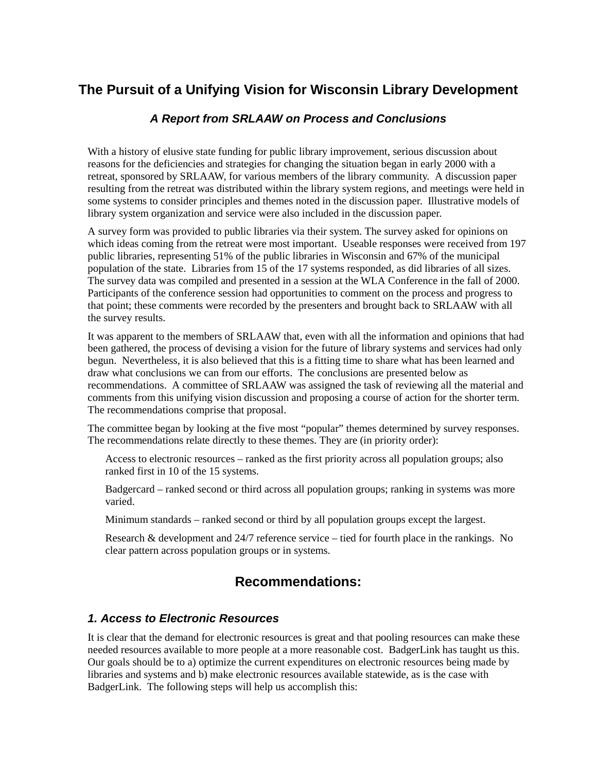# **The Pursuit of a Unifying Vision for Wisconsin Library Development**

#### *A Report from SRLAAW on Process and Conclusions*

With a history of elusive state funding for public library improvement, serious discussion about reasons for the deficiencies and strategies for changing the situation began in early 2000 with a retreat, sponsored by SRLAAW, for various members of the library community. A discussion paper resulting from the retreat was distributed within the library system regions, and meetings were held in some systems to consider principles and themes noted in the discussion paper. Illustrative models of library system organization and service were also included in the discussion paper.

A survey form was provided to public libraries via their system. The survey asked for opinions on which ideas coming from the retreat were most important. Useable responses were received from 197 public libraries, representing 51% of the public libraries in Wisconsin and 67% of the municipal population of the state. Libraries from 15 of the 17 systems responded, as did libraries of all sizes. The survey data was compiled and presented in a session at the WLA Conference in the fall of 2000. Participants of the conference session had opportunities to comment on the process and progress to that point; these comments were recorded by the presenters and brought back to SRLAAW with all the survey results.

It was apparent to the members of SRLAAW that, even with all the information and opinions that had been gathered, the process of devising a vision for the future of library systems and services had only begun. Nevertheless, it is also believed that this is a fitting time to share what has been learned and draw what conclusions we can from our efforts. The conclusions are presented below as recommendations. A committee of SRLAAW was assigned the task of reviewing all the material and comments from this unifying vision discussion and proposing a course of action for the shorter term. The recommendations comprise that proposal.

The committee began by looking at the five most "popular" themes determined by survey responses. The recommendations relate directly to these themes. They are (in priority order):

Access to electronic resources – ranked as the first priority across all population groups; also ranked first in 10 of the 15 systems.

Badgercard – ranked second or third across all population groups; ranking in systems was more varied.

Minimum standards – ranked second or third by all population groups except the largest.

Research & development and 24/7 reference service – tied for fourth place in the rankings. No clear pattern across population groups or in systems.

# **Recommendations:**

#### *1. Access to Electronic Resources*

It is clear that the demand for electronic resources is great and that pooling resources can make these needed resources available to more people at a more reasonable cost. BadgerLink has taught us this. Our goals should be to a) optimize the current expenditures on electronic resources being made by libraries and systems and b) make electronic resources available statewide, as is the case with BadgerLink. The following steps will help us accomplish this: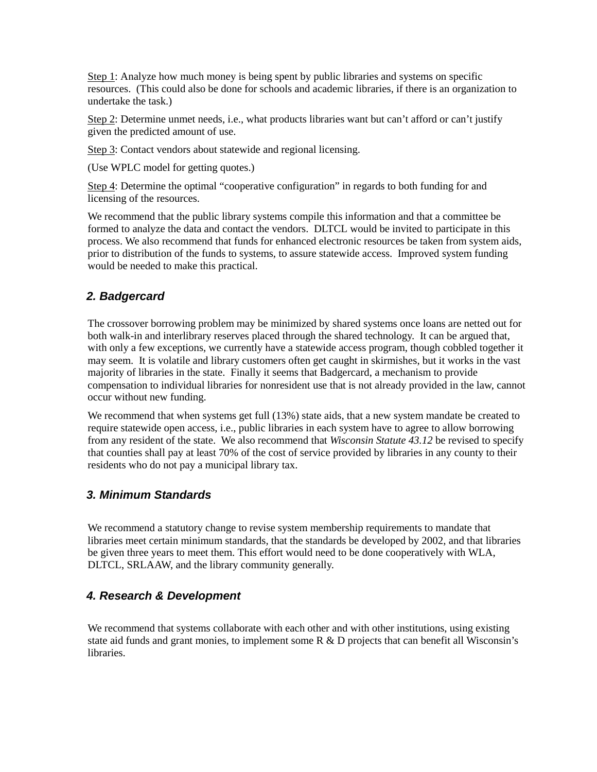Step 1: Analyze how much money is being spent by public libraries and systems on specific resources. (This could also be done for schools and academic libraries, if there is an organization to undertake the task.)

Step 2: Determine unmet needs, i.e., what products libraries want but can't afford or can't justify given the predicted amount of use.

Step 3: Contact vendors about statewide and regional licensing.

(Use WPLC model for getting quotes.)

Step 4: Determine the optimal "cooperative configuration" in regards to both funding for and licensing of the resources.

We recommend that the public library systems compile this information and that a committee be formed to analyze the data and contact the vendors. DLTCL would be invited to participate in this process. We also recommend that funds for enhanced electronic resources be taken from system aids, prior to distribution of the funds to systems, to assure statewide access. Improved system funding would be needed to make this practical.

### *2. Badgercard*

The crossover borrowing problem may be minimized by shared systems once loans are netted out for both walk-in and interlibrary reserves placed through the shared technology. It can be argued that, with only a few exceptions, we currently have a statewide access program, though cobbled together it may seem. It is volatile and library customers often get caught in skirmishes, but it works in the vast majority of libraries in the state. Finally it seems that Badgercard, a mechanism to provide compensation to individual libraries for nonresident use that is not already provided in the law, cannot occur without new funding.

We recommend that when systems get full  $(13%)$  state aids, that a new system mandate be created to require statewide open access, i.e., public libraries in each system have to agree to allow borrowing from any resident of the state. We also recommend that *Wisconsin Statute 43.12* be revised to specify that counties shall pay at least 70% of the cost of service provided by libraries in any county to their residents who do not pay a municipal library tax.

### *3. Minimum Standards*

We recommend a statutory change to revise system membership requirements to mandate that libraries meet certain minimum standards, that the standards be developed by 2002, and that libraries be given three years to meet them. This effort would need to be done cooperatively with WLA, DLTCL, SRLAAW, and the library community generally.

### *4. Research & Development*

We recommend that systems collaborate with each other and with other institutions, using existing state aid funds and grant monies, to implement some  $R \& D$  projects that can benefit all Wisconsin's libraries.